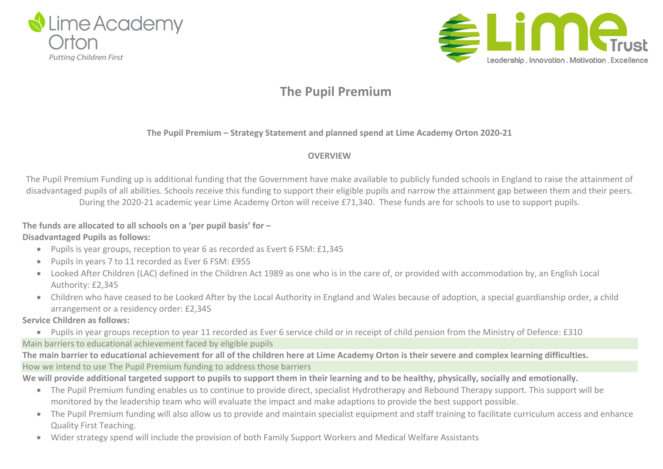



**The Pupil Premium – Strategy Statement and planned spend at Lime Academy Orton 2020-21**

### **OVERVIEW**

The Pupil Premium Funding up is additional funding that the Government have make available to publicly funded schools in England to raise the attainment of disadvantaged pupils of all abilities. Schools receive this funding to support their eligible pupils and narrow the attainment gap between them and their peers. During the 2020-21 academic year Lime Academy Orton will receive £71,340. These funds are for schools to use to support pupils.

**The funds are allocated to all schools on a 'per pupil basis' for –**

### **Disadvantaged Pupils as follows:**

- Pupils is year groups, reception to year 6 as recorded as Evert 6 FSM: £1,345
- Pupils in years 7 to 11 recorded as Ever 6 FSM: £955
- Looked After Children (LAC) defined in the Children Act 1989 as one who is in the care of, or provided with accommodation by, an English Local Authority: £2,345
- Children who have ceased to be Looked After by the Local Authority in England and Wales because of adoption, a special guardianship order, a child arrangement or a residency order: £2,345

### **Service Children as follows:**

- Pupils in year groups reception to year 11 recorded as Ever 6 service child or in receipt of child pension from the Ministry of Defence: £310 Main barriers to educational achievement faced by eligible pupils
- The main barrier to educational achievement for all of the children here at Lime Academy Orton is their severe and complex learning difficulties. How we intend to use The Pupil Premium funding to address those barriers

We will provide additional targeted support to pupils to support them in their learning and to be healthy, physically, socially and emotionally.

- The Pupil Premium funding enables us to continue to provide direct, specialist Hydrotherapy and Rebound Therapy support. This support will be monitored by the leadership team who will evaluate the impact and make adaptions to provide the best support possible.
- The Pupil Premium funding will also allow us to provide and maintain specialist equipment and staff training to facilitate curriculum access and enhance Quality First Teaching.
- Wider strategy spend will include the provision of both Family Support Workers and Medical Welfare Assistants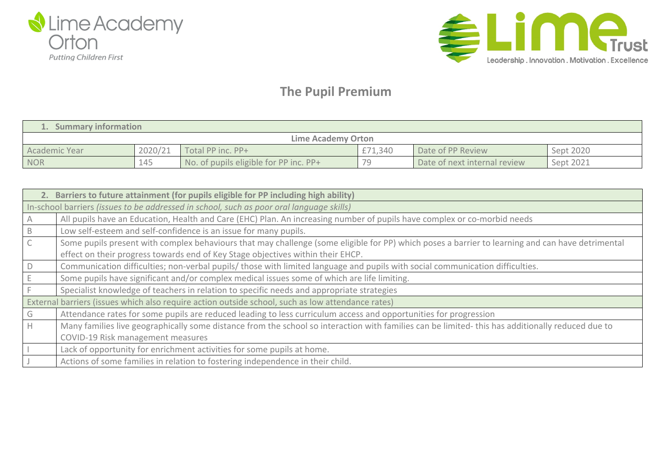



| 1. Summary information |         |                                        |         |                              |           |  |  |  |  |
|------------------------|---------|----------------------------------------|---------|------------------------------|-----------|--|--|--|--|
| Lime Academy Orton     |         |                                        |         |                              |           |  |  |  |  |
| Academic Year          | 2020/21 | Total PP inc. PP+                      | £71,340 | Date of PP Review            | Sept 2020 |  |  |  |  |
| <b>NOR</b>             | 145     | No. of pupils eligible for PP inc. PP+ | 70      | Date of next internal review | Sept 2021 |  |  |  |  |

| 2. Barriers to future attainment (for pupils eligible for PP including high ability)              |                                                                                                                                                  |  |  |  |  |  |
|---------------------------------------------------------------------------------------------------|--------------------------------------------------------------------------------------------------------------------------------------------------|--|--|--|--|--|
|                                                                                                   | In-school barriers (issues to be addressed in school, such as poor oral language skills)                                                         |  |  |  |  |  |
|                                                                                                   | All pupils have an Education, Health and Care (EHC) Plan. An increasing number of pupils have complex or co-morbid needs                         |  |  |  |  |  |
| B                                                                                                 | Low self-esteem and self-confidence is an issue for many pupils.                                                                                 |  |  |  |  |  |
|                                                                                                   | Some pupils present with complex behaviours that may challenge (some eligible for PP) which poses a barrier to learning and can have detrimental |  |  |  |  |  |
|                                                                                                   | effect on their progress towards end of Key Stage objectives within their EHCP.                                                                  |  |  |  |  |  |
|                                                                                                   | Communication difficulties; non-verbal pupils/ those with limited language and pupils with social communication difficulties.                    |  |  |  |  |  |
|                                                                                                   | Some pupils have significant and/or complex medical issues some of which are life limiting.                                                      |  |  |  |  |  |
|                                                                                                   | Specialist knowledge of teachers in relation to specific needs and appropriate strategies                                                        |  |  |  |  |  |
| External barriers (issues which also require action outside school, such as low attendance rates) |                                                                                                                                                  |  |  |  |  |  |
| G                                                                                                 | Attendance rates for some pupils are reduced leading to less curriculum access and opportunities for progression                                 |  |  |  |  |  |
| H.                                                                                                | Many families live geographically some distance from the school so interaction with families can be limited-this has additionally reduced due to |  |  |  |  |  |
|                                                                                                   | COVID-19 Risk management measures                                                                                                                |  |  |  |  |  |
|                                                                                                   | Lack of opportunity for enrichment activities for some pupils at home.                                                                           |  |  |  |  |  |
|                                                                                                   | Actions of some families in relation to fostering independence in their child.                                                                   |  |  |  |  |  |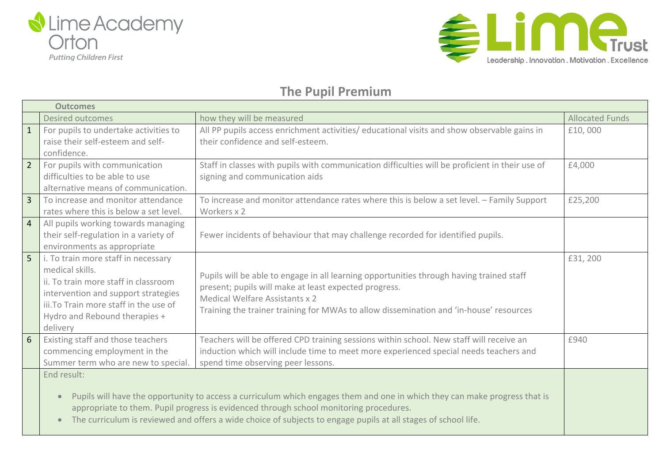



|                | <b>Outcomes</b>                                                                                                                                                                                                                                                                                                                                                                 |                                                                                                                                                                                                                                                                               |                        |  |  |  |
|----------------|---------------------------------------------------------------------------------------------------------------------------------------------------------------------------------------------------------------------------------------------------------------------------------------------------------------------------------------------------------------------------------|-------------------------------------------------------------------------------------------------------------------------------------------------------------------------------------------------------------------------------------------------------------------------------|------------------------|--|--|--|
|                | <b>Desired outcomes</b>                                                                                                                                                                                                                                                                                                                                                         | how they will be measured                                                                                                                                                                                                                                                     | <b>Allocated Funds</b> |  |  |  |
| $\mathbf{1}$   | For pupils to undertake activities to<br>raise their self-esteem and self-<br>confidence.                                                                                                                                                                                                                                                                                       | All PP pupils access enrichment activities/ educational visits and show observable gains in<br>their confidence and self-esteem.                                                                                                                                              | £10,000                |  |  |  |
| $\overline{2}$ | For pupils with communication<br>difficulties to be able to use<br>alternative means of communication.                                                                                                                                                                                                                                                                          | Staff in classes with pupils with communication difficulties will be proficient in their use of<br>signing and communication aids                                                                                                                                             | £4,000                 |  |  |  |
| $\overline{3}$ | To increase and monitor attendance<br>rates where this is below a set level.                                                                                                                                                                                                                                                                                                    | To increase and monitor attendance rates where this is below a set level. - Family Support<br>Workers x 2                                                                                                                                                                     | £25,200                |  |  |  |
| $\overline{4}$ | All pupils working towards managing<br>their self-regulation in a variety of<br>environments as appropriate                                                                                                                                                                                                                                                                     | Fewer incidents of behaviour that may challenge recorded for identified pupils.                                                                                                                                                                                               |                        |  |  |  |
| 5              | i. To train more staff in necessary<br>medical skills.<br>ii. To train more staff in classroom<br>intervention and support strategies<br>iii. To Train more staff in the use of<br>Hydro and Rebound therapies +<br>delivery                                                                                                                                                    | Pupils will be able to engage in all learning opportunities through having trained staff<br>present; pupils will make at least expected progress.<br>Medical Welfare Assistants x 2<br>Training the trainer training for MWAs to allow dissemination and 'in-house' resources | £31, 200               |  |  |  |
| 6 <sup>1</sup> | Existing staff and those teachers<br>commencing employment in the<br>Summer term who are new to special.                                                                                                                                                                                                                                                                        | Teachers will be offered CPD training sessions within school. New staff will receive an<br>induction which will include time to meet more experienced special needs teachers and<br>spend time observing peer lessons.                                                        | £940                   |  |  |  |
|                | End result:<br>Pupils will have the opportunity to access a curriculum which engages them and one in which they can make progress that is<br>$\bullet$<br>appropriate to them. Pupil progress is evidenced through school monitoring procedures.<br>The curriculum is reviewed and offers a wide choice of subjects to engage pupils at all stages of school life.<br>$\bullet$ |                                                                                                                                                                                                                                                                               |                        |  |  |  |